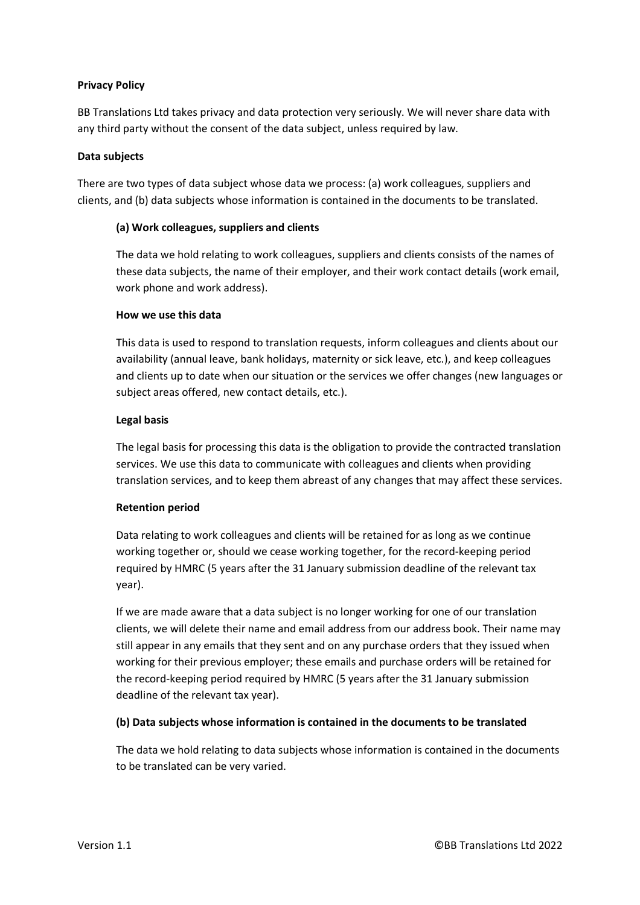## **Privacy Policy**

BB Translations Ltd takes privacy and data protection very seriously. We will never share data with any third party without the consent of the data subject, unless required by law.

### **Data subjects**

There are two types of data subject whose data we process: (a) work colleagues, suppliers and clients, and (b) data subjects whose information is contained in the documents to be translated.

## **(a) Work colleagues, suppliers and clients**

The data we hold relating to work colleagues, suppliers and clients consists of the names of these data subjects, the name of their employer, and their work contact details (work email, work phone and work address).

### **How we use this data**

This data is used to respond to translation requests, inform colleagues and clients about our availability (annual leave, bank holidays, maternity or sick leave, etc.), and keep colleagues and clients up to date when our situation or the services we offer changes (new languages or subject areas offered, new contact details, etc.).

### **Legal basis**

The legal basis for processing this data is the obligation to provide the contracted translation services. We use this data to communicate with colleagues and clients when providing translation services, and to keep them abreast of any changes that may affect these services.

# **Retention period**

Data relating to work colleagues and clients will be retained for as long as we continue working together or, should we cease working together, for the record-keeping period required by HMRC (5 years after the 31 January submission deadline of the relevant tax year).

If we are made aware that a data subject is no longer working for one of our translation clients, we will delete their name and email address from our address book. Their name may still appear in any emails that they sent and on any purchase orders that they issued when working for their previous employer; these emails and purchase orders will be retained for the record-keeping period required by HMRC (5 years after the 31 January submission deadline of the relevant tax year).

# **(b) Data subjects whose information is contained in the documents to be translated**

The data we hold relating to data subjects whose information is contained in the documents to be translated can be very varied.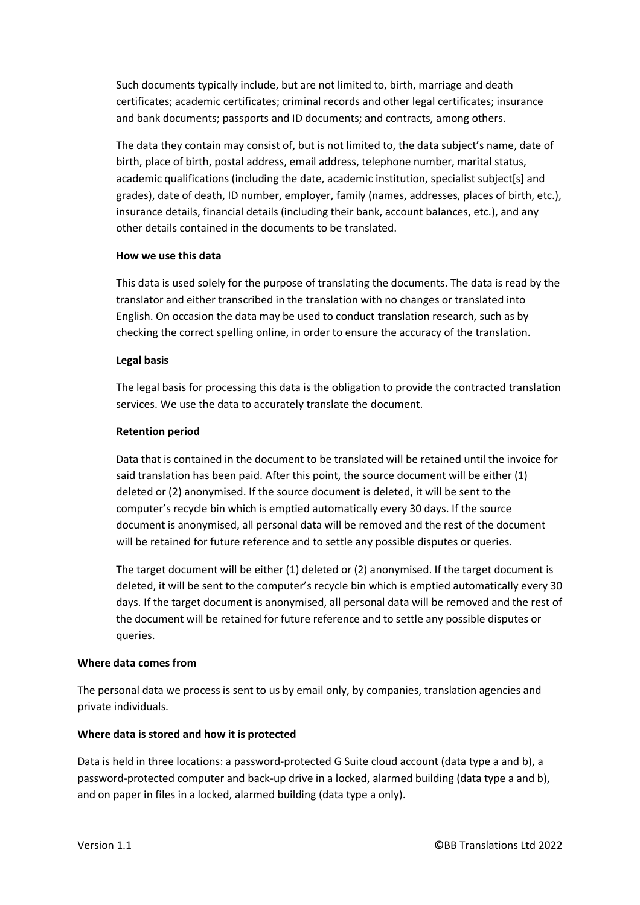Such documents typically include, but are not limited to, birth, marriage and death certificates; academic certificates; criminal records and other legal certificates; insurance and bank documents; passports and ID documents; and contracts, among others.

The data they contain may consist of, but is not limited to, the data subject's name, date of birth, place of birth, postal address, email address, telephone number, marital status, academic qualifications (including the date, academic institution, specialist subject[s] and grades), date of death, ID number, employer, family (names, addresses, places of birth, etc.), insurance details, financial details (including their bank, account balances, etc.), and any other details contained in the documents to be translated.

### **How we use this data**

This data is used solely for the purpose of translating the documents. The data is read by the translator and either transcribed in the translation with no changes or translated into English. On occasion the data may be used to conduct translation research, such as by checking the correct spelling online, in order to ensure the accuracy of the translation.

## **Legal basis**

The legal basis for processing this data is the obligation to provide the contracted translation services. We use the data to accurately translate the document.

## **Retention period**

Data that is contained in the document to be translated will be retained until the invoice for said translation has been paid. After this point, the source document will be either (1) deleted or (2) anonymised. If the source document is deleted, it will be sent to the computer's recycle bin which is emptied automatically every 30 days. If the source document is anonymised, all personal data will be removed and the rest of the document will be retained for future reference and to settle any possible disputes or queries.

The target document will be either (1) deleted or (2) anonymised. If the target document is deleted, it will be sent to the computer's recycle bin which is emptied automatically every 30 days. If the target document is anonymised, all personal data will be removed and the rest of the document will be retained for future reference and to settle any possible disputes or queries.

### **Where data comes from**

The personal data we process is sent to us by email only, by companies, translation agencies and private individuals.

# **Where data is stored and how it is protected**

Data is held in three locations: a password-protected G Suite cloud account (data type a and b), a password-protected computer and back-up drive in a locked, alarmed building (data type a and b), and on paper in files in a locked, alarmed building (data type a only).